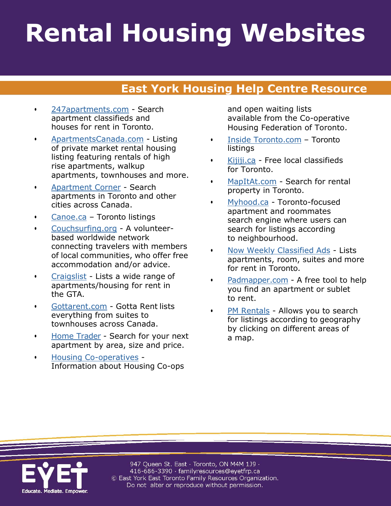## **Rental Housing Websites**

## **East York Housing Help Centre Resource**

- [247apartments.com](http://www.247apartments.com/) Search apartment classifieds and houses for rent in Toronto.
- [ApartmentsCanada.com](http://www.apartmentscanada.com/) Listing of private market rental housing listing featuring rentals of high rise apartments, walkup apartments, townhouses and more.
- [Apartment Corner](http://www.apartmentcorner.com/) Search apartments in Toronto and other cities across Canada.
- [Canoe.ca](http://www.classifiedextra.ca/cgi-bin/search/index.cgi) Toronto listings
- [Couchsurfing.org](http://www.couchsurfing.org/) A volunteerbased worldwide network connecting travelers with members of local communities, who offer free accommodation and/or advice.
- [Craigslist](http://toronto.craigslist.org/apa/) Lists a wide range of apartments/housing for rent in the GTA.
- [Gottarent.com](http://www.gottarent.com/) Gotta Rent lists everything from suites to townhouses across Canada.
- [Home Trader](http://www.hometrader.ca/) Search for your next apartment by area, size and price.
- [Housing Co-operatives](http://www.coophousing.com/members/members_start.asp) Information about Housing Co-ops

and open waiting lists available from the Co-operative Housing Federation of Toronto.

- [Inside Toronto.com](http://yourclassifieds.ca/?ap_loc=Toronto&max_distance=25) Toronto listings
- [Kijiji.ca](http://toronto.kijiji.ca/) Free local classifieds for Toronto.
- [MapItAt.com](http://www.mapitat.com/) Search for rental property in Toronto.
- [Myhood.ca](http://www.myhood.ca/) Toronto-focused apartment and roommates search engine where users can search for listings according to neighbourhood.
- [Now Weekly Classified Ads](http://toronto.nowtoronto.com/rentals/classifieds/Results?section=4376) Lists apartments, room, suites and more for rent in Toronto.
- [Padmapper.com](http://www.padmapper.com/) A free tool to help you find an apartment or sublet to rent.
- [PM Rentals](http://www.pmrentals.com/) Allows you to search for listings according to geography by clicking on different areas of a map.